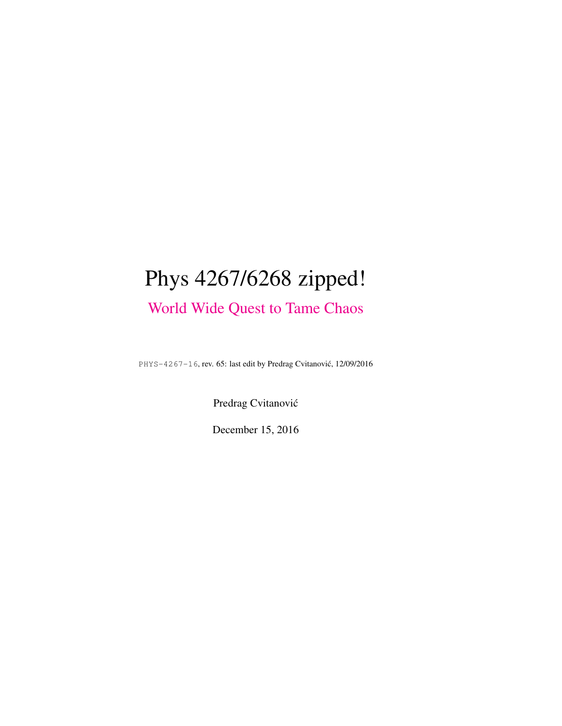# Phys 4267/6268 zipped! [World Wide Quest to Tame Chaos](http://ChaosBook.org/~predrag/courses/PHYS-4267-16/index.html)

PHYS-4267-16, rev. 65: last edit by Predrag Cvitanovic, 12/09/2016 ´

Predrag Cvitanović

December 15, 2016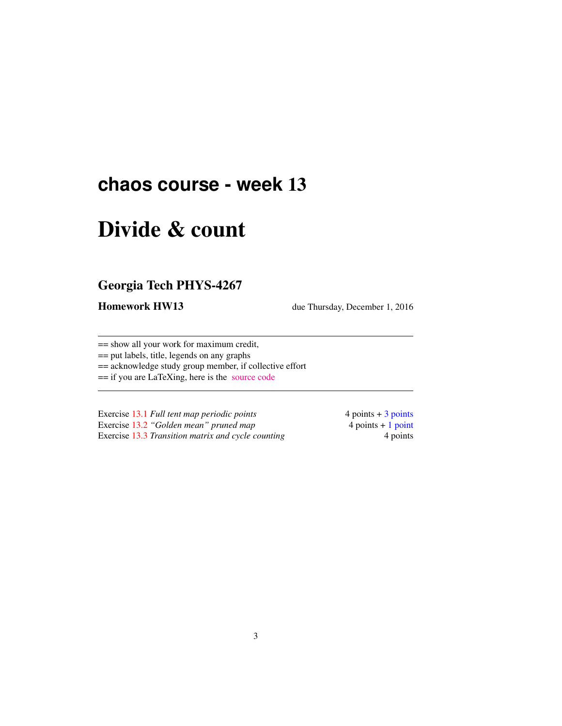## **chaos course - week** 13

# Divide & count

### Georgia Tech PHYS-4267

Homework HW13 due Thursday, December 1, 2016

== show all your work for maximum credit,

== put labels, title, legends on any graphs

== acknowledge study group member, if collective effort

== if you are LaTeXing, here is the [source code](http://ChaosBook.org/courses/PHYS-4267-16/exerWeek11.tex)

Exercise [13.1](#page-5-0) *Full tent map periodic points* 4 points + 3 points Exercise [13.2](#page-5-1) *"Golden mean" pruned map* 4 points + 1 point Exercise [13.3](#page-5-2) *Transition matrix and cycle counting* 4 points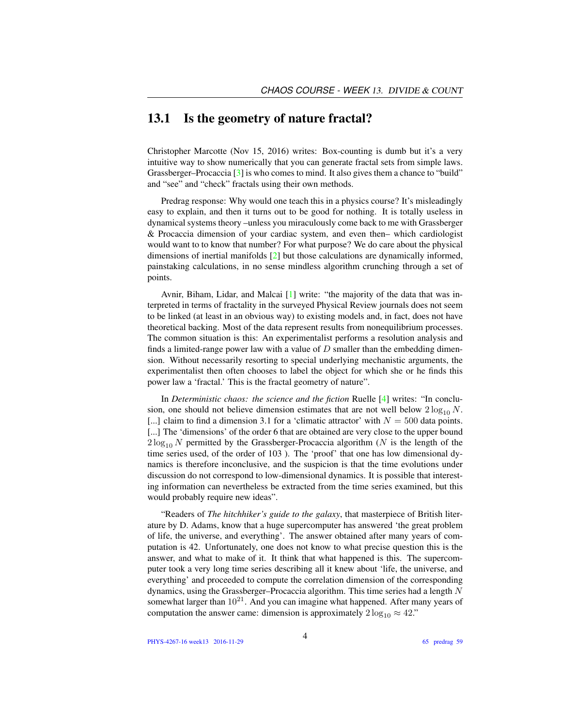#### 13.1 Is the geometry of nature fractal?

Christopher Marcotte (Nov 15, 2016) writes: Box-counting is dumb but it's a very intuitive way to show numerically that you can generate fractal sets from simple laws. Grassberger–Procaccia [\[3\]](#page-4-0) is who comes to mind. It also gives them a chance to "build" and "see" and "check" fractals using their own methods.

Predrag response: Why would one teach this in a physics course? It's misleadingly easy to explain, and then it turns out to be good for nothing. It is totally useless in dynamical systems theory –unless you miraculously come back to me with Grassberger & Procaccia dimension of your cardiac system, and even then– which cardiologist would want to to know that number? For what purpose? We do care about the physical dimensions of inertial manifolds [\[2\]](#page-4-1) but those calculations are dynamically informed, painstaking calculations, in no sense mindless algorithm crunching through a set of points.

Avnir, Biham, Lidar, and Malcai [\[1\]](#page-4-2) write: "the majority of the data that was interpreted in terms of fractality in the surveyed Physical Review journals does not seem to be linked (at least in an obvious way) to existing models and, in fact, does not have theoretical backing. Most of the data represent results from nonequilibrium processes. The common situation is this: An experimentalist performs a resolution analysis and finds a limited-range power law with a value of  $D$  smaller than the embedding dimension. Without necessarily resorting to special underlying mechanistic arguments, the experimentalist then often chooses to label the object for which she or he finds this power law a 'fractal.' This is the fractal geometry of nature".

In *Deterministic chaos: the science and the fiction* Ruelle [\[4\]](#page-4-3) writes: "In conclusion, one should not believe dimension estimates that are not well below  $2 \log_{10} N$ . [...] claim to find a dimension 3.1 for a 'climatic attractor' with  $N = 500$  data points. [...] The 'dimensions' of the order 6 that are obtained are very close to the upper bound  $2\log_{10} N$  permitted by the Grassberger-Procaccia algorithm (N is the length of the time series used, of the order of 103 ). The 'proof' that one has low dimensional dynamics is therefore inconclusive, and the suspicion is that the time evolutions under discussion do not correspond to low-dimensional dynamics. It is possible that interesting information can nevertheless be extracted from the time series examined, but this would probably require new ideas".

"Readers of *The hitchhiker's guide to the galaxy*, that masterpiece of British literature by D. Adams, know that a huge supercomputer has answered 'the great problem of life, the universe, and everything'. The answer obtained after many years of computation is 42. Unfortunately, one does not know to what precise question this is the answer, and what to make of it. It think that what happened is this. The supercomputer took a very long time series describing all it knew about 'life, the universe, and everything' and proceeded to compute the correlation dimension of the corresponding dynamics, using the Grassberger–Procaccia algorithm. This time series had a length N somewhat larger than  $10^{21}$ . And you can imagine what happened. After many years of computation the answer came: dimension is approximately  $2 \log_{10} \approx 42$ ."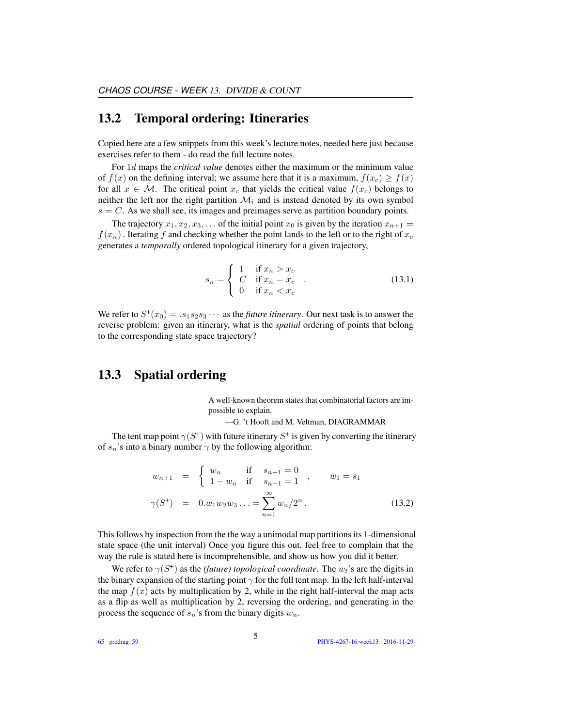#### 13.2 Temporal ordering: Itineraries

Copied here are a few snippets from this week's lecture notes, needed here just because exercises refer to them - do read the full lecture notes.

For 1d maps the *critical value* denotes either the maximum or the minimum value of  $f(x)$  on the defining interval; we assume here that it is a maximum,  $f(x_c) \ge f(x)$ for all  $x \in \mathcal{M}$ . The critical point  $x_c$  that yields the critical value  $f(x_c)$  belongs to neither the left nor the right partition  $\mathcal{M}_i$  and is instead denoted by its own symbol  $s = C$ . As we shall see, its images and preimages serve as partition boundary points.

The trajectory  $x_1, x_2, x_3, \ldots$  of the initial point  $x_0$  is given by the iteration  $x_{n+1} =$  $f(x_n)$ . Iterating f and checking whether the point lands to the left or to the right of  $x_c$ generates a *temporally* ordered topological itinerary for a given trajectory,

$$
s_n = \begin{cases} 1 & \text{if } x_n > x_c \\ C & \text{if } x_n = x_c \\ 0 & \text{if } x_n < x_c \end{cases} \tag{13.1}
$$

We refer to  $S^+(x_0) = .s_1s_2s_3\cdots$  as the *future itinerary*. Our next task is to answer the reverse problem: given an itinerary, what is the *spatial* ordering of points that belong to the corresponding state space trajectory?

#### 13.3 Spatial ordering

A well-known theorem states that combinatorial factors are impossible to explain.

—G. 't Hooft and M. Veltman, DIAGRAMMAR

The tent map point  $\gamma(S^+)$  with future itinerary  $S^+$  is given by converting the itinerary of  $s_n$ 's into a binary number  $\gamma$  by the following algorithm:

<span id="page-3-0"></span>
$$
w_{n+1} = \begin{cases} w_n & \text{if } s_{n+1} = 0 \\ 1 - w_n & \text{if } s_{n+1} = 1 \end{cases}, \qquad w_1 = s_1
$$
  

$$
\gamma(S^+) = 0.w_1 w_2 w_3 ... = \sum_{n=1}^{\infty} w_n/2^n.
$$
 (13.2)

This follows by inspection from the the way a unimodal map partitions its 1-dimensional state space (the unit interval) Once you figure this out, feel free to complain that the way the rule is stated here is incomprehensible, and show us how you did it better.

We refer to  $\gamma(S^+)$  as the *(future) topological coordinate*. The  $w_t$ 's are the digits in the binary expansion of the starting point  $\gamma$  for the full tent map. In the left half-interval the map  $f(x)$  acts by multiplication by 2, while in the right half-interval the map acts as a flip as well as multiplication by 2, reversing the ordering, and generating in the process the sequence of  $s_n$ 's from the binary digits  $w_n$ .

65 predrag 59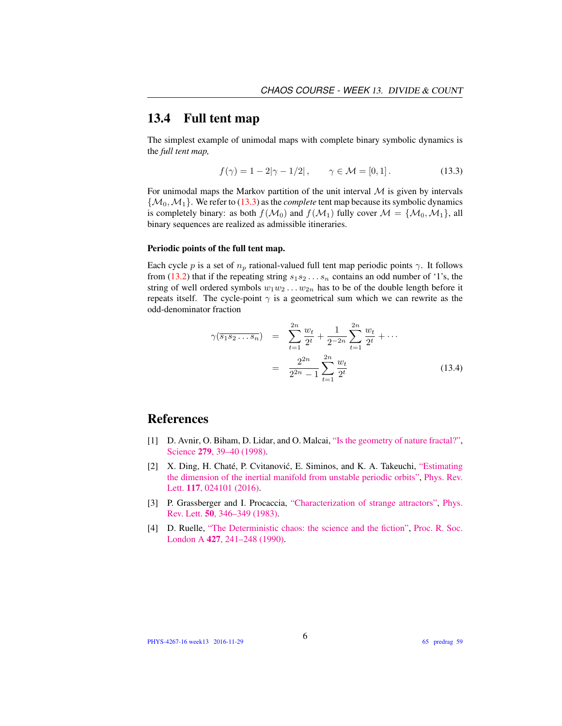### 13.4 Full tent map

The simplest example of unimodal maps with complete binary symbolic dynamics is the *full tent map,*

<span id="page-4-4"></span>
$$
f(\gamma) = 1 - 2|\gamma - 1/2|,
$$
  $\gamma \in \mathcal{M} = [0, 1].$  (13.3)

For unimodal maps the Markov partition of the unit interval  $M$  is given by intervals  $\{\mathcal{M}_0, \mathcal{M}_1\}$ . We refer to [\(13.3\)](#page-4-4) as the *complete* tent map because its symbolic dynamics is completely binary: as both  $f(M_0)$  and  $f(M_1)$  fully cover  $M = \{M_0, M_1\}$ , all binary sequences are realized as admissible itineraries.

#### Periodic points of the full tent map.

Each cycle p is a set of  $n_p$  rational-valued full tent map periodic points  $\gamma$ . It follows from [\(13.2\)](#page-3-0) that if the repeating string  $s_1s_2...s_n$  contains an odd number of '1's, the string of well ordered symbols  $w_1w_2 \ldots w_{2n}$  has to be of the double length before it repeats itself. The cycle-point  $\gamma$  is a geometrical sum which we can rewrite as the odd-denominator fraction

<span id="page-4-5"></span>
$$
\gamma(\overline{s_1 s_2 \dots s_n}) = \sum_{t=1}^{2n} \frac{w_t}{2^t} + \frac{1}{2^{-2n}} \sum_{t=1}^{2n} \frac{w_t}{2^t} + \dots
$$

$$
= \frac{2^{2n}}{2^{2n} - 1} \sum_{t=1}^{2n} \frac{w_t}{2^t}
$$
(13.4)

#### References

- <span id="page-4-2"></span>[1] D. Avnir, O. Biham, D. Lidar, and O. Malcai, ["Is the geometry of nature fractal?",](http://dx.doi.org/10.1126/science.279.5347.39) Science 279[, 39–40 \(1998\).](http://dx.doi.org/10.1126/science.279.5347.39)
- <span id="page-4-1"></span>[2] X. Ding, H. Chaté, P. Cvitanović, E. Siminos, and K. A. Takeuchi, ["Estimating](http://dx.doi.org/10.1103/PhysRevLett.117.024101) [the dimension of the inertial manifold from unstable periodic orbits",](http://dx.doi.org/10.1103/PhysRevLett.117.024101) [Phys. Rev.](http://dx.doi.org/10.1103/PhysRevLett.117.024101) Lett. **117**[, 024101 \(2016\).](http://dx.doi.org/10.1103/PhysRevLett.117.024101)
- <span id="page-4-0"></span>[3] P. Grassberger and I. Procaccia, ["Characterization of strange attractors",](http://dx.doi.org/10.1103/PhysRevLett.50.346) [Phys.](http://dx.doi.org/10.1103/PhysRevLett.50.346) Rev. Lett. 50[, 346–349 \(1983\).](http://dx.doi.org/10.1103/PhysRevLett.50.346)
- <span id="page-4-3"></span>[4] D. Ruelle, ["The Deterministic chaos: the science and the fiction",](http://dx.doi.org/10.1098/rspa.1990.0010) [Proc. R. Soc.](http://dx.doi.org/10.1098/rspa.1990.0010) London A 427[, 241–248 \(1990\).](http://dx.doi.org/10.1098/rspa.1990.0010)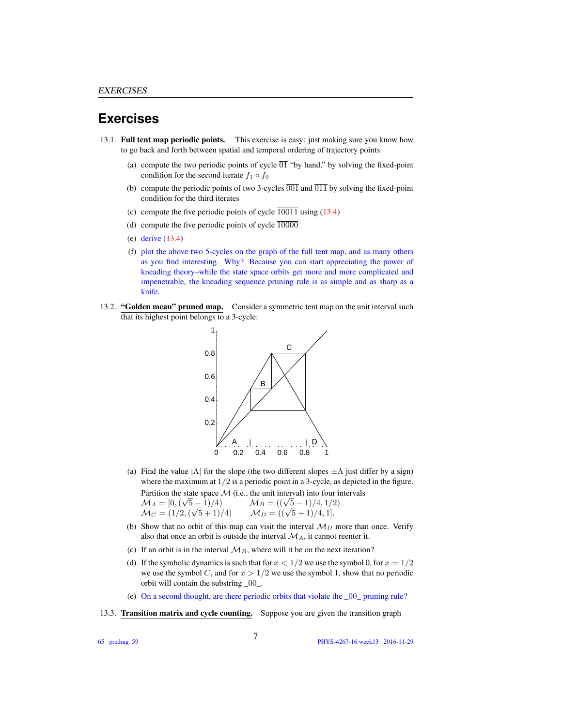#### **Exercises**

- <span id="page-5-0"></span>13.1. Full tent map periodic points. This exercise is easy: just making sure you know how to go back and forth between spatial and temporal ordering of trajectory points.
	- (a) compute the two periodic points of cycle  $\overline{01}$  "by hand," by solving the fixed-point condition for the second iterate  $f_1 \circ f_0$
	- (b) compute the periodic points of two 3-cycles  $\overline{001}$  and  $\overline{011}$  by solving the fixed-point condition for the third iterates
	- (c) compute the five periodic points of cycle  $\overline{10011}$  using [\(13.4\)](#page-4-5)
	- (d) compute the five periodic points of cycle  $\overline{10000}$
	- (e) derive [\(13.4\)](#page-4-5)
	- (f) plot the above two 5-cycles on the graph of the full tent map, and as many others as you find interesting. Why? Because you can start appreciating the power of kneading theory–while the state space orbits get more and more complicated and impenetrable, the kneading sequence pruning rule is as simple and as sharp as a knife.
- <span id="page-5-1"></span>13.2. "Golden mean" pruned map. Consider a symmetric tent map on the unit interval such that its highest point belongs to a 3-cycle:



(a) Find the value  $|\Lambda|$  for the slope (the two different slopes  $\pm \Lambda$  just differ by a sign) where the maximum at  $1/2$  is a periodic point in a 3-cycle, as depicted in the figure.

Partition the state space M (i.e., the unit interval) into four intervals  $M_A = [0, (\sqrt{5}$ ale space  $\mathcal{M}$  (i.e., the unit interval) into four f<br>
5 − 1)/4)  $M_B = ((\sqrt{5} - 1)/4, 1/2)$ <br>  $(\sqrt{5} + 1)/4$   $M_D = ((\sqrt{5} + 1)/4, 1].$ 

- $\mathcal{M}_C = (1/2, (\sqrt{5}+1)/4)$
- (b) Show that no orbit of this map can visit the interval  $M_D$  more than once. Verify also that once an orbit is outside the interval  $\mathcal{M}_A$ , it cannot reenter it.
- (c) If an orbit is in the interval  $\mathcal{M}_B$ , where will it be on the next iteration?
- (d) If the symbolic dynamics is such that for  $x < 1/2$  we use the symbol 0, for  $x = 1/2$ we use the symbol C, and for  $x > 1/2$  we use the symbol 1, show that no periodic orbit will contain the substring \_00\_.
- (e) On a second thought, are there periodic orbits that violate the \_00\_ pruning rule?
- <span id="page-5-2"></span>13.3. Transition matrix and cycle counting. Suppose you are given the transition graph

65 predrag 59

PHYS-4267-16 week13 2016-11-29